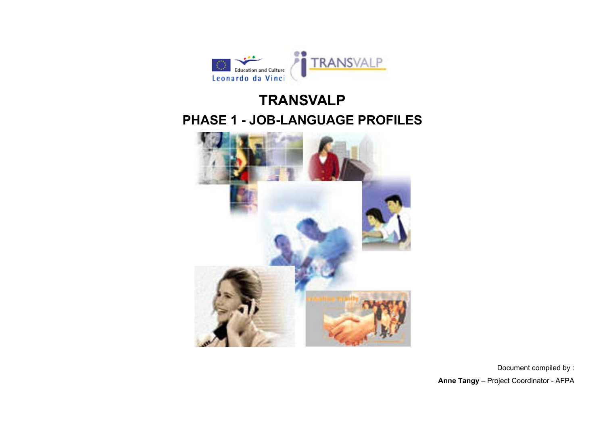

# **TRANSVALP PHASE 1 - JOB-LANGUAGE PROFILES**



Document compiled by : **Anne Tangy** – Project Coordinator - AFPA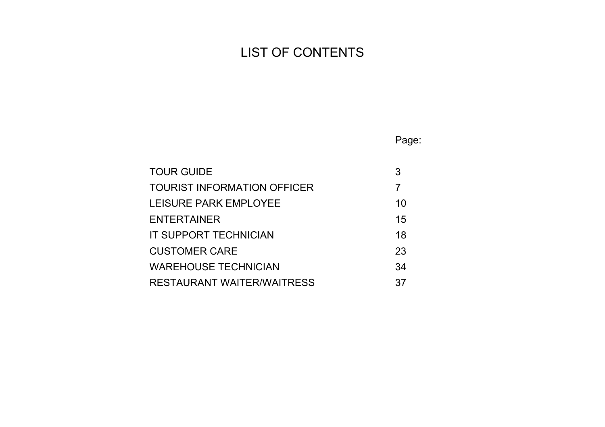# LIST OF CONTENTS

Page:

| <b>TOUR GUIDE</b>                 |    |
|-----------------------------------|----|
| TOURIST INFORMATION OFFICER       |    |
| LEISURE PARK EMPLOYEE             | 10 |
| <b>ENTERTAINER</b>                | 15 |
| <b>IT SUPPORT TECHNICIAN</b>      | 18 |
| <b>CUSTOMER CARE</b>              | 23 |
| <b>WAREHOUSE TECHNICIAN</b>       | 34 |
| <b>RESTAURANT WAITER/WAITRESS</b> | 37 |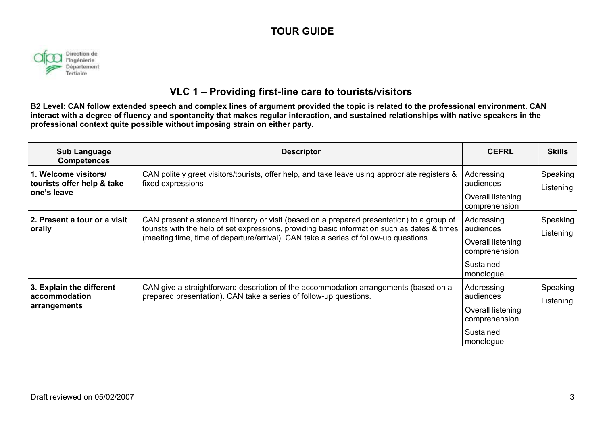

### **VLC 1 – Providing first-line care to tourists/visitors**

**B2 Level: CAN follow extended speech and complex lines of argument provided the topic is related to the professional environment. CAN interact with a degree of fluency and spontaneity that makes regular interaction, and sustained relationships with native speakers in the professional context quite possible without imposing strain on either party.** 

| <b>Sub Language</b><br><b>Competences</b>                         | <b>Descriptor</b>                                                                                                                                                                                                                                                                  | <b>CEFRL</b>                                                                            | <b>Skills</b>         |
|-------------------------------------------------------------------|------------------------------------------------------------------------------------------------------------------------------------------------------------------------------------------------------------------------------------------------------------------------------------|-----------------------------------------------------------------------------------------|-----------------------|
| 1. Welcome visitors/<br>tourists offer help & take<br>one's leave | CAN politely greet visitors/tourists, offer help, and take leave using appropriate registers &<br>fixed expressions                                                                                                                                                                | Addressing<br>audiences<br>Overall listening<br>comprehension                           | Speaking<br>Listening |
| 2. Present a tour or a visit<br>orally                            | CAN present a standard itinerary or visit (based on a prepared presentation) to a group of<br>tourists with the help of set expressions, providing basic information such as dates & times<br>(meeting time, time of departure/arrival). CAN take a series of follow-up questions. | Addressing<br>audiences<br>Overall listening<br>comprehension<br>Sustained<br>monologue | Speaking<br>Listening |
| 3. Explain the different<br>accommodation<br>arrangements         | CAN give a straightforward description of the accommodation arrangements (based on a<br>prepared presentation). CAN take a series of follow-up questions.                                                                                                                          | Addressing<br>audiences<br>Overall listening<br>comprehension<br>Sustained<br>monologue | Speaking<br>Listening |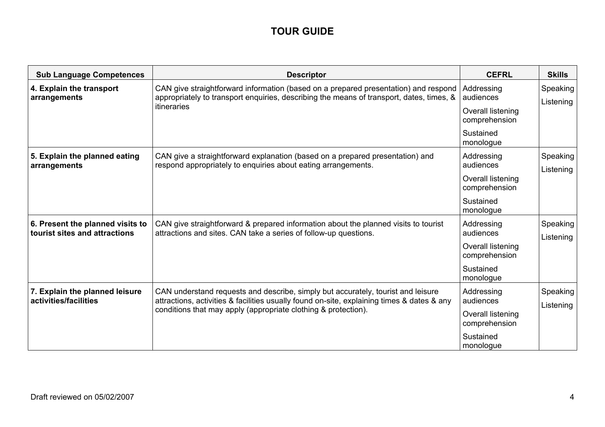| <b>Sub Language Competences</b>                                   | <b>Descriptor</b>                                                                                                                                                               | <b>CEFRL</b>                       | <b>Skills</b>         |
|-------------------------------------------------------------------|---------------------------------------------------------------------------------------------------------------------------------------------------------------------------------|------------------------------------|-----------------------|
| 4. Explain the transport<br>arrangements                          | CAN give straightforward information (based on a prepared presentation) and respond<br>appropriately to transport enquiries, describing the means of transport, dates, times, & | Addressing<br>audiences            | Speaking<br>Listening |
|                                                                   | itineraries                                                                                                                                                                     | Overall listening<br>comprehension |                       |
|                                                                   |                                                                                                                                                                                 | Sustained<br>monologue             |                       |
| 5. Explain the planned eating<br>arrangements                     | CAN give a straightforward explanation (based on a prepared presentation) and<br>respond appropriately to enquiries about eating arrangements.                                  | Addressing<br>audiences            | Speaking<br>Listening |
|                                                                   |                                                                                                                                                                                 | Overall listening<br>comprehension |                       |
|                                                                   |                                                                                                                                                                                 | Sustained<br>monologue             |                       |
| 6. Present the planned visits to<br>tourist sites and attractions | CAN give straightforward & prepared information about the planned visits to tourist<br>attractions and sites. CAN take a series of follow-up questions.                         | Addressing<br>audiences            | Speaking<br>Listening |
|                                                                   |                                                                                                                                                                                 | Overall listening<br>comprehension |                       |
|                                                                   |                                                                                                                                                                                 | Sustained<br>monologue             |                       |
| 7. Explain the planned leisure<br>activities/facilities           | CAN understand requests and describe, simply but accurately, tourist and leisure<br>attractions, activities & facilities usually found on-site, explaining times & dates & any  | Addressing<br>audiences            | Speaking<br>Listening |
|                                                                   | conditions that may apply (appropriate clothing & protection).                                                                                                                  | Overall listening<br>comprehension |                       |
|                                                                   |                                                                                                                                                                                 | Sustained<br>monologue             |                       |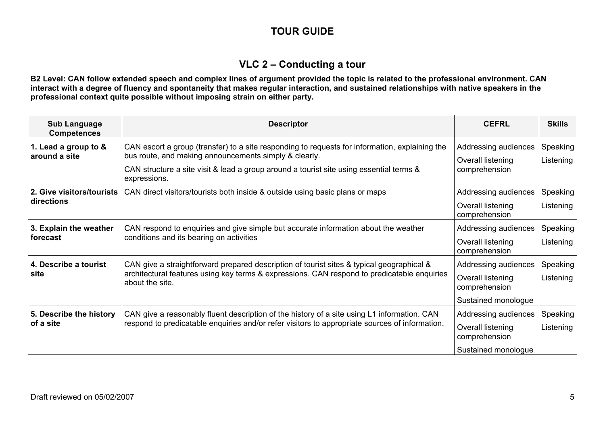### **VLC 2 – Conducting a tour**

**B2 Level: CAN follow extended speech and complex lines of argument provided the topic is related to the professional environment. CAN interact with a degree of fluency and spontaneity that makes regular interaction, and sustained relationships with native speakers in the professional context quite possible without imposing strain on either party.** 

| <b>Sub Language</b><br><b>Competences</b> | <b>Descriptor</b>                                                                                                                                                                                                                                                  | <b>CEFRL</b>                                                                      | <b>Skills</b>         |
|-------------------------------------------|--------------------------------------------------------------------------------------------------------------------------------------------------------------------------------------------------------------------------------------------------------------------|-----------------------------------------------------------------------------------|-----------------------|
| 1. Lead a group to &<br>around a site     | CAN escort a group (transfer) to a site responding to requests for information, explaining the<br>bus route, and making announcements simply & clearly.<br>CAN structure a site visit & lead a group around a tourist site using essential terms &<br>expressions. | Addressing audiences<br>Overall listening<br>comprehension                        | Speaking<br>Listening |
| 2. Give visitors/tourists<br>directions   | CAN direct visitors/tourists both inside & outside using basic plans or maps                                                                                                                                                                                       | Addressing audiences<br>Overall listening<br>comprehension                        | Speaking<br>Listening |
| 3. Explain the weather<br>forecast        | CAN respond to enquiries and give simple but accurate information about the weather<br>conditions and its bearing on activities                                                                                                                                    | Addressing audiences<br>Overall listening<br>comprehension                        | Speaking<br>Listening |
| 4. Describe a tourist<br>site             | CAN give a straightforward prepared description of tourist sites & typical geographical &<br>architectural features using key terms & expressions. CAN respond to predicatable enquiries<br>about the site.                                                        | Addressing audiences<br>Overall listening<br>comprehension<br>Sustained monologue | Speaking<br>Listening |
| 5. Describe the history<br>of a site      | CAN give a reasonably fluent description of the history of a site using L1 information. CAN<br>respond to predicatable enquiries and/or refer visitors to appropriate sources of information.                                                                      | Addressing audiences<br>Overall listening<br>comprehension<br>Sustained monologue | Speaking<br>Listening |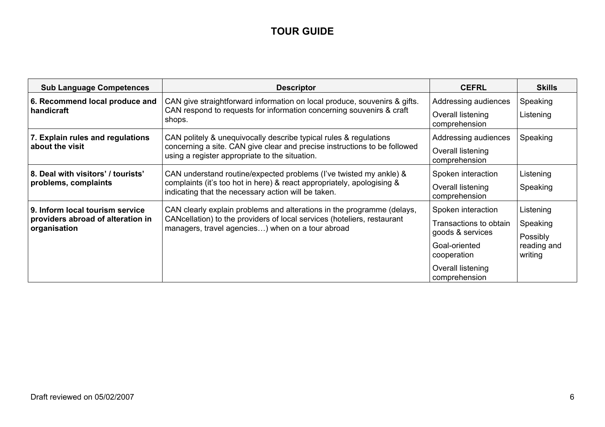| <b>Sub Language Competences</b>                   | <b>Descriptor</b>                                                                                                                                                                                   | <b>CEFRL</b>                               | <b>Skills</b>                      |
|---------------------------------------------------|-----------------------------------------------------------------------------------------------------------------------------------------------------------------------------------------------------|--------------------------------------------|------------------------------------|
| 6. Recommend local produce and<br>handicraft      | CAN give straightforward information on local produce, souvenirs & gifts.<br>CAN respond to requests for information concerning souvenirs & craft                                                   | Addressing audiences                       | Speaking                           |
|                                                   | shops.                                                                                                                                                                                              | Overall listening<br>comprehension         | Listening                          |
| 7. Explain rules and regulations                  | CAN politely & unequivocally describe typical rules & regulations                                                                                                                                   | Addressing audiences                       | Speaking                           |
| about the visit                                   | concerning a site. CAN give clear and precise instructions to be followed<br>using a register appropriate to the situation.                                                                         | Overall listening<br>comprehension         |                                    |
| 8. Deal with visitors' / tourists'                | CAN understand routine/expected problems (I've twisted my ankle) &<br>complaints (it's too hot in here) & react appropriately, apologising &<br>indicating that the necessary action will be taken. | Spoken interaction                         | Listening                          |
| problems, complaints                              |                                                                                                                                                                                                     | Overall listening<br>comprehension         | Speaking                           |
| 9. Inform local tourism service                   | CAN clearly explain problems and alterations in the programme (delays,                                                                                                                              | Spoken interaction                         | Listening                          |
| providers abroad of alteration in<br>organisation | CANcellation) to the providers of local services (hoteliers, restaurant<br>managers, travel agencies) when on a tour abroad                                                                         | Transactions to obtain<br>goods & services | Speaking                           |
|                                                   |                                                                                                                                                                                                     | Goal-oriented<br>cooperation               | Possibly<br>reading and<br>writing |
|                                                   |                                                                                                                                                                                                     | Overall listening<br>comprehension         |                                    |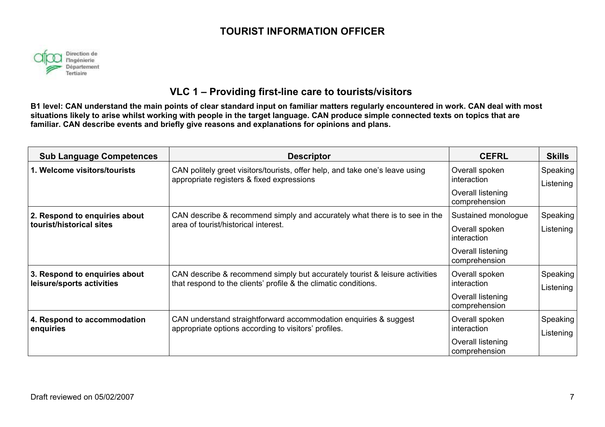### **TOURIST INFORMATION OFFICER**



### **VLC 1 – Providing first-line care to tourists/visitors**

| <b>Sub Language Competences</b>                            | <b>Descriptor</b>                                                                                                                              | <b>CEFRL</b>                       | <b>Skills</b>         |
|------------------------------------------------------------|------------------------------------------------------------------------------------------------------------------------------------------------|------------------------------------|-----------------------|
| 1. Welcome visitors/tourists                               | CAN politely greet visitors/tourists, offer help, and take one's leave using<br>appropriate registers & fixed expressions                      | Overall spoken<br>interaction      | Speaking<br>Listening |
|                                                            |                                                                                                                                                | Overall listening<br>comprehension |                       |
| 2. Respond to enquiries about                              | CAN describe & recommend simply and accurately what there is to see in the                                                                     | Sustained monologue                | Speaking              |
| tourist/historical sites                                   | area of tourist/historical interest.                                                                                                           | Overall spoken<br>interaction      | Listening             |
|                                                            |                                                                                                                                                | Overall listening<br>comprehension |                       |
| 3. Respond to enquiries about<br>leisure/sports activities | CAN describe & recommend simply but accurately tourist & leisure activities<br>that respond to the clients' profile & the climatic conditions. | Overall spoken<br>interaction      | Speaking<br>Listening |
|                                                            |                                                                                                                                                | Overall listening<br>comprehension |                       |
| 4. Respond to accommodation                                | CAN understand straightforward accommodation enquiries & suggest                                                                               | Overall spoken                     | Speaking              |
| enquiries                                                  | appropriate options according to visitors' profiles.                                                                                           | interaction                        | Listening             |
|                                                            |                                                                                                                                                | Overall listening<br>comprehension |                       |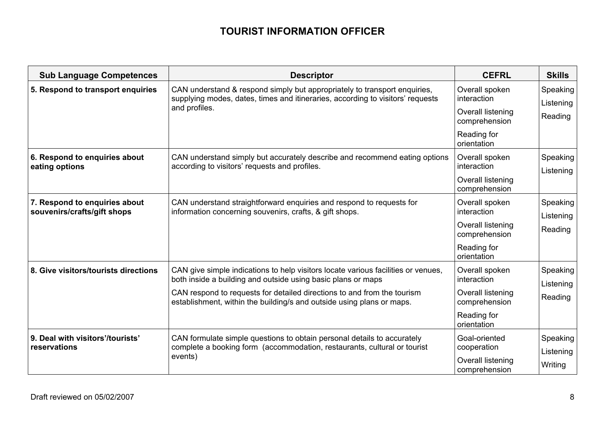### **TOURIST INFORMATION OFFICER**

| <b>Sub Language Competences</b>                              | <b>Descriptor</b>                                                                                                                                           | <b>CEFRL</b>                       | <b>Skills</b>         |
|--------------------------------------------------------------|-------------------------------------------------------------------------------------------------------------------------------------------------------------|------------------------------------|-----------------------|
| 5. Respond to transport enquiries                            | CAN understand & respond simply but appropriately to transport enquiries,<br>supplying modes, dates, times and itineraries, according to visitors' requests | Overall spoken<br>interaction      | Speaking<br>Listening |
|                                                              | and profiles.                                                                                                                                               | Overall listening<br>comprehension | Reading               |
|                                                              |                                                                                                                                                             | Reading for<br>orientation         |                       |
| 6. Respond to enquiries about<br>eating options              | CAN understand simply but accurately describe and recommend eating options<br>according to visitors' requests and profiles.                                 | Overall spoken<br>interaction      | Speaking<br>Listening |
|                                                              |                                                                                                                                                             | Overall listening<br>comprehension |                       |
| 7. Respond to enquiries about<br>souvenirs/crafts/gift shops | CAN understand straightforward enquiries and respond to requests for<br>information concerning souvenirs, crafts, & gift shops.                             | Overall spoken<br>interaction      | Speaking<br>Listening |
|                                                              |                                                                                                                                                             | Overall listening<br>comprehension | Reading               |
|                                                              |                                                                                                                                                             | Reading for<br>orientation         |                       |
| 8. Give visitors/tourists directions                         | CAN give simple indications to help visitors locate various facilities or venues,<br>both inside a building and outside using basic plans or maps           | Overall spoken<br>interaction      | Speaking<br>Listening |
|                                                              | CAN respond to requests for detailed directions to and from the tourism<br>establishment, within the building/s and outside using plans or maps.            | Overall listening<br>comprehension | Reading               |
|                                                              |                                                                                                                                                             | Reading for<br>orientation         |                       |
| 9. Deal with visitors'/tourists'<br>reservations             | CAN formulate simple questions to obtain personal details to accurately<br>complete a booking form (accommodation, restaurants, cultural or tourist         | Goal-oriented<br>cooperation       | Speaking<br>Listening |
|                                                              | events)                                                                                                                                                     | Overall listening<br>comprehension | Writing               |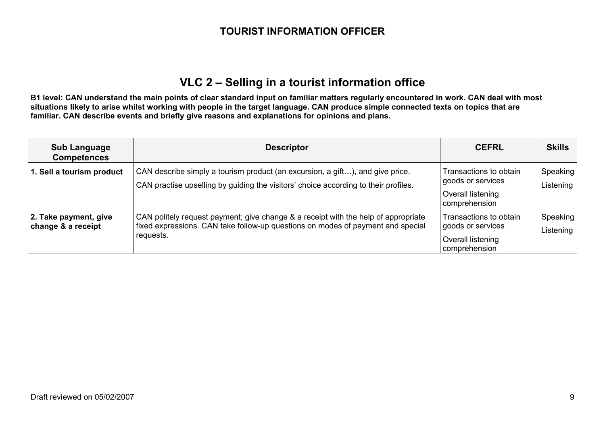### **TOURIST INFORMATION OFFICER**

### **VLC 2 – Selling in a tourist information office**

| <b>Sub Language</b><br><b>Competences</b>   | <b>Descriptor</b>                                                                                                                                                                  | <b>CEFRL</b>                                                                      | <b>Skills</b>         |
|---------------------------------------------|------------------------------------------------------------------------------------------------------------------------------------------------------------------------------------|-----------------------------------------------------------------------------------|-----------------------|
| 1. Sell a tourism product                   | CAN describe simply a tourism product (an excursion, a gift), and give price.<br>CAN practise upselling by guiding the visitors' choice according to their profiles.               | Transactions to obtain<br>goods or services<br>Overall listening<br>comprehension | Speaking<br>Listening |
| 2. Take payment, give<br>change & a receipt | CAN politely request payment; give change & a receipt with the help of appropriate<br>fixed expressions. CAN take follow-up questions on modes of payment and special<br>requests. | Transactions to obtain<br>goods or services<br>Overall listening<br>comprehension | Speaking<br>Listening |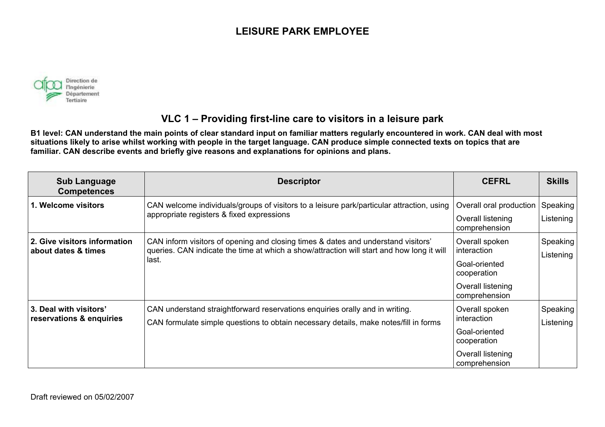

### **VLC 1 – Providing first-line care to visitors in a leisure park**

| <b>Sub Language</b><br><b>Competences</b>           | <b>Descriptor</b>                                                                                                                                                                       | <b>CEFRL</b>                                                                                        | <b>Skills</b>         |
|-----------------------------------------------------|-----------------------------------------------------------------------------------------------------------------------------------------------------------------------------------------|-----------------------------------------------------------------------------------------------------|-----------------------|
| 1. Welcome visitors                                 | CAN welcome individuals/groups of visitors to a leisure park/particular attraction, using<br>appropriate registers & fixed expressions                                                  | Overall oral production<br>Overall listening<br>comprehension                                       | Speaking<br>Listening |
| 2. Give visitors information<br>about dates & times | CAN inform visitors of opening and closing times & dates and understand visitors'<br>queries. CAN indicate the time at which a show/attraction will start and how long it will<br>last. | Overall spoken<br>interaction<br>Goal-oriented<br>cooperation<br>Overall listening<br>comprehension | Speaking<br>Listening |
| 3. Deal with visitors'<br>reservations & enquiries  | CAN understand straightforward reservations enquiries orally and in writing.<br>CAN formulate simple questions to obtain necessary details, make notes/fill in forms                    | Overall spoken<br>interaction<br>Goal-oriented<br>cooperation<br>Overall listening<br>comprehension | Speaking<br>Listening |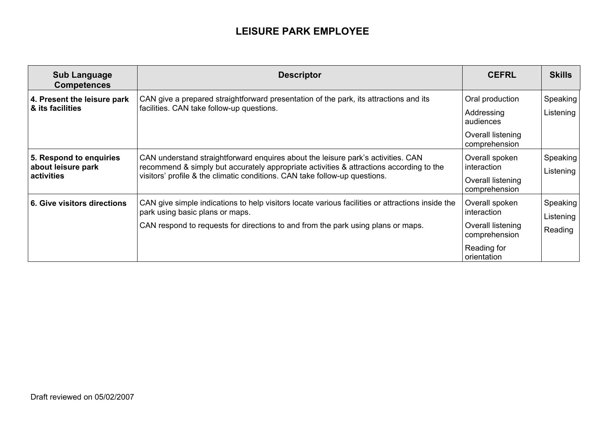| <b>Sub Language</b><br><b>Competences</b>                   | <b>Descriptor</b>                                                                                                                                                                                                                                         | <b>CEFRL</b>                                                                                      | <b>Skills</b>                    |
|-------------------------------------------------------------|-----------------------------------------------------------------------------------------------------------------------------------------------------------------------------------------------------------------------------------------------------------|---------------------------------------------------------------------------------------------------|----------------------------------|
| 4. Present the leisure park<br>& its facilities             | CAN give a prepared straightforward presentation of the park, its attractions and its<br>facilities. CAN take follow-up questions.                                                                                                                        | Oral production<br>Addressing<br>audiences<br>Overall listening<br>comprehension                  | Speaking<br>Listening            |
| 5. Respond to enquiries<br>about leisure park<br>activities | CAN understand straightforward enquires about the leisure park's activities. CAN<br>recommend & simply but accurately appropriate activities & attractions according to the<br>visitors' profile & the climatic conditions. CAN take follow-up questions. | Overall spoken<br>interaction<br>Overall listening<br>comprehension                               | Speaking<br>Listening            |
| 6. Give visitors directions                                 | CAN give simple indications to help visitors locate various facilities or attractions inside the<br>park using basic plans or maps.<br>CAN respond to requests for directions to and from the park using plans or maps.                                   | Overall spoken<br>interaction<br>Overall listening<br>comprehension<br>Reading for<br>orientation | Speaking<br>Listening<br>Reading |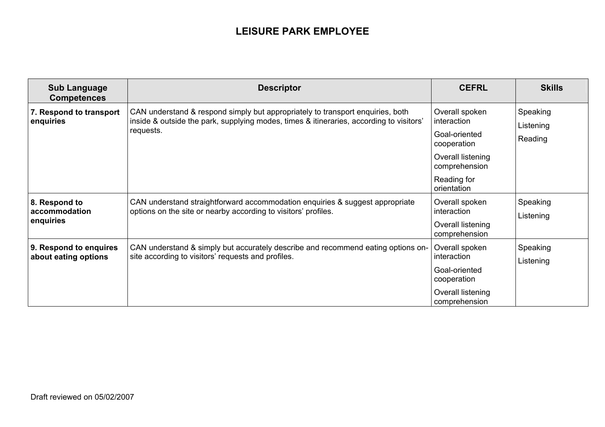| <b>Sub Language</b><br><b>Competences</b>      | <b>Descriptor</b>                                                                                                                                                                      | <b>CEFRL</b>                                                                                                                      | <b>Skills</b>                    |
|------------------------------------------------|----------------------------------------------------------------------------------------------------------------------------------------------------------------------------------------|-----------------------------------------------------------------------------------------------------------------------------------|----------------------------------|
| 7. Respond to transport<br>enquiries           | CAN understand & respond simply but appropriately to transport enquiries, both<br>inside & outside the park, supplying modes, times & itineraries, according to visitors'<br>requests. | Overall spoken<br>interaction<br>Goal-oriented<br>cooperation<br>Overall listening<br>comprehension<br>Reading for<br>orientation | Speaking<br>Listening<br>Reading |
| 8. Respond to<br>accommodation<br>enquiries    | CAN understand straightforward accommodation enquiries & suggest appropriate<br>options on the site or nearby according to visitors' profiles.                                         | Overall spoken<br>interaction<br>Overall listening<br>comprehension                                                               | Speaking<br>Listening            |
| 9. Respond to enquires<br>about eating options | CAN understand & simply but accurately describe and recommend eating options on-<br>site according to visitors' requests and profiles.                                                 | Overall spoken<br>interaction<br>Goal-oriented<br>cooperation<br>Overall listening<br>comprehension                               | Speaking<br>Listening            |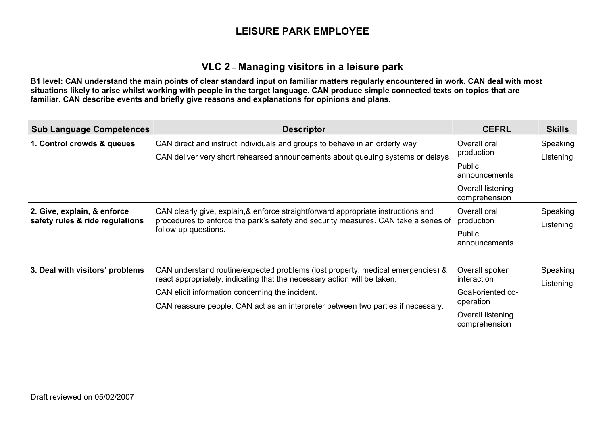#### **VLC 2 – Managing visitors in a leisure park**

| <b>Sub Language Competences</b>                                | <b>Descriptor</b>                                                                                                                                                                                                                                                                                  | <b>CEFRL</b>                                                                                | <b>Skills</b>         |
|----------------------------------------------------------------|----------------------------------------------------------------------------------------------------------------------------------------------------------------------------------------------------------------------------------------------------------------------------------------------------|---------------------------------------------------------------------------------------------|-----------------------|
| 1. Control crowds & queues                                     | CAN direct and instruct individuals and groups to behave in an orderly way<br>CAN deliver very short rehearsed announcements about queuing systems or delays                                                                                                                                       | Overall oral<br>production<br>Public<br>announcements<br>Overall listening<br>comprehension | Speaking<br>Listening |
| 2. Give, explain, & enforce<br>safety rules & ride regulations | CAN clearly give, explain,& enforce straightforward appropriate instructions and<br>procedures to enforce the park's safety and security measures. CAN take a series of<br>follow-up questions.                                                                                                    | Overall oral<br>production<br><b>Public</b><br>announcements                                | Speaking<br>Listening |
| 3. Deal with visitors' problems                                | CAN understand routine/expected problems (lost property, medical emergencies) &<br>react appropriately, indicating that the necessary action will be taken.<br>CAN elicit information concerning the incident.<br>CAN reassure people. CAN act as an interpreter between two parties if necessary. | Overall spoken<br>interaction<br>Goal-oriented co-<br>operation<br>Overall listening        | Speaking<br>Listening |
|                                                                |                                                                                                                                                                                                                                                                                                    | comprehension                                                                               |                       |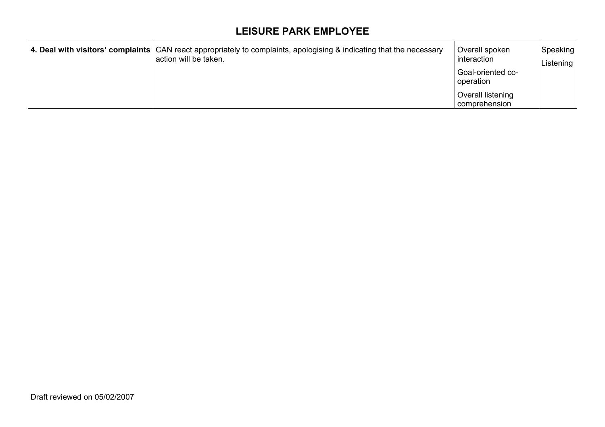| 4. Deal with visitors' complaints CAN react appropriately to complaints, apologising & indicating that the necessary<br>l action will be taken. | Overall spoken<br>interaction<br>Goal-oriented co-<br>operation | Speaking<br>Listening |
|-------------------------------------------------------------------------------------------------------------------------------------------------|-----------------------------------------------------------------|-----------------------|
|                                                                                                                                                 | Overall listening<br>comprehension                              |                       |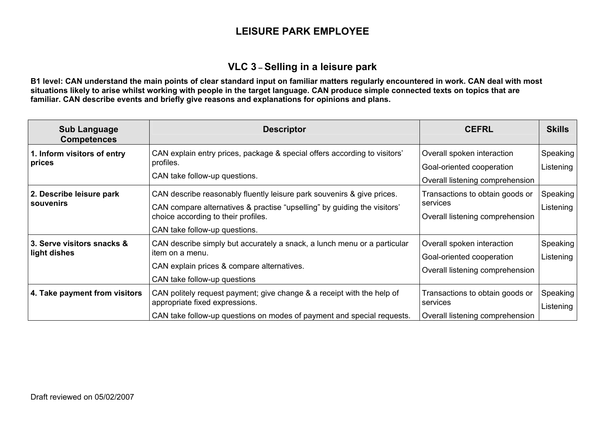#### **VLC 3 – Selling in a leisure park**

| <b>Sub Language</b><br><b>Competences</b>  | <b>Descriptor</b>                                                                                                                                                                                                          | <b>CEFRL</b>                                                                               | <b>Skills</b>         |
|--------------------------------------------|----------------------------------------------------------------------------------------------------------------------------------------------------------------------------------------------------------------------------|--------------------------------------------------------------------------------------------|-----------------------|
| 1. Inform visitors of entry<br>prices      | CAN explain entry prices, package & special offers according to visitors'<br>profiles.<br>CAN take follow-up questions.                                                                                                    | Overall spoken interaction<br>Goal-oriented cooperation<br>Overall listening comprehension | Speaking<br>Listening |
| 2. Describe leisure park<br>souvenirs      | CAN describe reasonably fluently leisure park souvenirs & give prices.<br>CAN compare alternatives & practise "upselling" by guiding the visitors'<br>choice according to their profiles.<br>CAN take follow-up questions. | Transactions to obtain goods or<br>services<br>Overall listening comprehension             | Speaking<br>Listening |
| 3. Serve visitors snacks &<br>light dishes | CAN describe simply but accurately a snack, a lunch menu or a particular<br>item on a menu.<br>CAN explain prices & compare alternatives.<br>CAN take follow-up questions                                                  | Overall spoken interaction<br>Goal-oriented cooperation<br>Overall listening comprehension | Speaking<br>Listening |
| 4. Take payment from visitors              | CAN politely request payment; give change & a receipt with the help of<br>appropriate fixed expressions.<br>CAN take follow-up questions on modes of payment and special requests.                                         | Transactions to obtain goods or<br>services<br>Overall listening comprehension             | Speaking<br>Listening |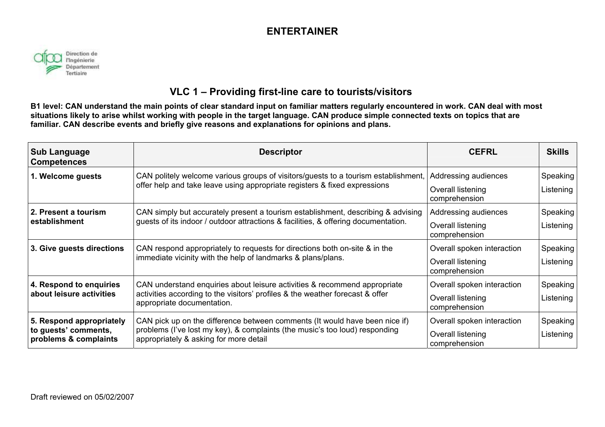### **ENTERTAINER**



### **VLC 1 – Providing first-line care to tourists/visitors**

| <b>Sub Language</b><br><b>Competences</b>     | <b>Descriptor</b>                                                                                                                                               | <b>CEFRL</b>                       | <b>Skills</b> |
|-----------------------------------------------|-----------------------------------------------------------------------------------------------------------------------------------------------------------------|------------------------------------|---------------|
| 1. Welcome guests                             | CAN politely welcome various groups of visitors/guests to a tourism establishment,<br>offer help and take leave using appropriate registers & fixed expressions | Addressing audiences               | Speaking      |
|                                               |                                                                                                                                                                 | Overall listening<br>comprehension | Listening     |
| 2. Present a tourism                          | CAN simply but accurately present a tourism establishment, describing & advising                                                                                | Addressing audiences               | Speaking      |
| establishment                                 | guests of its indoor / outdoor attractions & facilities, & offering documentation.                                                                              | Overall listening<br>comprehension | Listening     |
| 3. Give guests directions                     | CAN respond appropriately to requests for directions both on-site & in the                                                                                      | Overall spoken interaction         | Speaking      |
|                                               | immediate vicinity with the help of landmarks & plans/plans.                                                                                                    | Overall listening<br>comprehension | Listening     |
| 4. Respond to enquiries                       | CAN understand enquiries about leisure activities & recommend appropriate                                                                                       | Overall spoken interaction         | Speaking      |
| about leisure activities                      | activities according to the visitors' profiles & the weather forecast & offer<br>appropriate documentation.                                                     | Overall listening<br>comprehension | Listening     |
| 5. Respond appropriately                      | CAN pick up on the difference between comments (It would have been nice if)                                                                                     | Overall spoken interaction         | Speaking      |
| to guests' comments,<br>problems & complaints | problems (I've lost my key), & complaints (the music's too loud) responding<br>appropriately & asking for more detail                                           | Overall listening<br>comprehension | Listening     |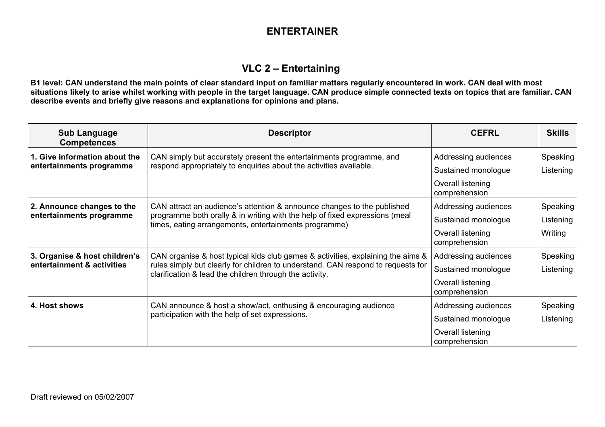### **ENTERTAINER**

### **VLC 2 – Entertaining**

| <b>Sub Language</b><br><b>Competences</b>                                         | <b>Descriptor</b>                                                                                                                           | <b>CEFRL</b>                                | <b>Skills</b>         |
|-----------------------------------------------------------------------------------|---------------------------------------------------------------------------------------------------------------------------------------------|---------------------------------------------|-----------------------|
| 1. Give information about the<br>entertainments programme                         | CAN simply but accurately present the entertainments programme, and<br>respond appropriately to enquiries about the activities available.   | Addressing audiences<br>Sustained monologue | Speaking<br>Listening |
|                                                                                   |                                                                                                                                             | Overall listening<br>comprehension          |                       |
| 2. Announce changes to the                                                        | CAN attract an audience's attention & announce changes to the published                                                                     | Addressing audiences                        | Speaking              |
| entertainments programme<br>times, eating arrangements, entertainments programme) | programme both orally & in writing with the help of fixed expressions (meal                                                                 | Sustained monologue                         | Listening             |
|                                                                                   |                                                                                                                                             | Overall listening<br>comprehension          | Writing               |
| 3. Organise & host children's                                                     | CAN organise & host typical kids club games & activities, explaining the aims &                                                             | Addressing audiences                        | Speaking              |
| entertainment & activities                                                        | rules simply but clearly for children to understand. CAN respond to requests for<br>clarification & lead the children through the activity. | Sustained monologue                         | Listening             |
|                                                                                   |                                                                                                                                             | Overall listening<br>comprehension          |                       |
| 4. Host shows                                                                     | CAN announce & host a show/act, enthusing & encouraging audience                                                                            | Addressing audiences                        | Speaking              |
|                                                                                   | participation with the help of set expressions.                                                                                             | Sustained monologue                         | Listening             |
|                                                                                   |                                                                                                                                             | Overall listening<br>comprehension          |                       |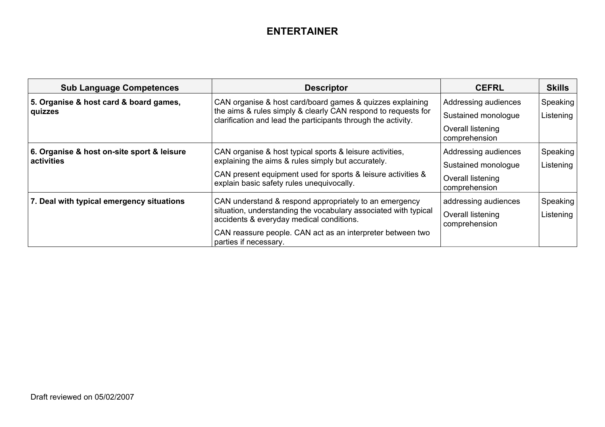### **ENTERTAINER**

| <b>Sub Language Competences</b>                          | <b>Descriptor</b>                                                                                                                                                                                                                                            | <b>CEFRL</b>                                                                      | <b>Skills</b>         |
|----------------------------------------------------------|--------------------------------------------------------------------------------------------------------------------------------------------------------------------------------------------------------------------------------------------------------------|-----------------------------------------------------------------------------------|-----------------------|
| 5. Organise & host card & board games,<br>quizzes        | CAN organise & host card/board games & quizzes explaining<br>the aims & rules simply & clearly CAN respond to requests for<br>clarification and lead the participants through the activity.                                                                  | Addressing audiences<br>Sustained monologue<br>Overall listening<br>comprehension | Speaking<br>Listening |
| 6. Organise & host on-site sport & leisure<br>activities | CAN organise & host typical sports & leisure activities,<br>explaining the aims & rules simply but accurately.<br>CAN present equipment used for sports & leisure activities &<br>explain basic safety rules unequivocally.                                  | Addressing audiences<br>Sustained monologue<br>Overall listening<br>comprehension | Speaking<br>Listening |
| 7. Deal with typical emergency situations                | CAN understand & respond appropriately to an emergency<br>situation, understanding the vocabulary associated with typical<br>accidents & everyday medical conditions.<br>CAN reassure people. CAN act as an interpreter between two<br>parties if necessary. | addressing audiences<br>Overall listening<br>comprehension                        | Speaking<br>Listening |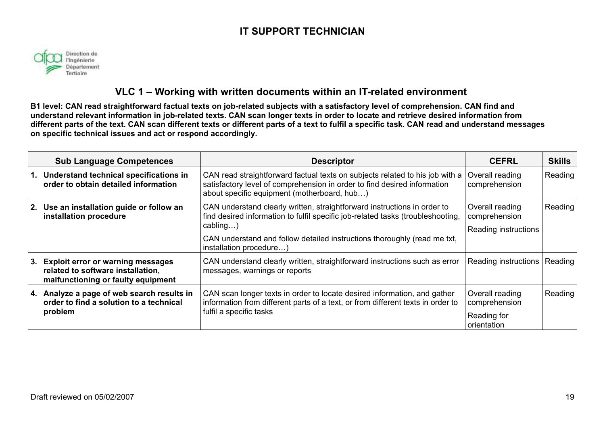

#### **VLC 1 – Working with written documents within an IT-related environment**

**B1 level: CAN read straightforward factual texts on job-related subjects with a satisfactory level of comprehension. CAN find and understand relevant information in job-related texts. CAN scan longer texts in order to locate and retrieve desired information from different parts of the text. CAN scan different texts or different parts of a text to fulfil a specific task. CAN read and understand messages on specific technical issues and act or respond accordingly.** 

| <b>Sub Language Competences</b>                                                                                 | <b>Descriptor</b>                                                                                                                                                                                                                                                             | <b>CEFRL</b>                                                   | <b>Skills</b> |
|-----------------------------------------------------------------------------------------------------------------|-------------------------------------------------------------------------------------------------------------------------------------------------------------------------------------------------------------------------------------------------------------------------------|----------------------------------------------------------------|---------------|
| 1. Understand technical specifications in<br>order to obtain detailed information                               | CAN read straightforward factual texts on subjects related to his job with a<br>satisfactory level of comprehension in order to find desired information<br>about specific equipment (motherboard, hub)                                                                       | Overall reading<br>comprehension                               | Reading       |
| 2. Use an installation guide or follow an<br>installation procedure                                             | CAN understand clearly written, straightforward instructions in order to<br>find desired information to fulfil specific job-related tasks (troubleshooting,<br>cabling<br>CAN understand and follow detailed instructions thoroughly (read me txt,<br>installation procedure) | Overall reading<br>comprehension<br>Reading instructions       | Reading       |
| 3. Exploit error or warning messages<br>related to software installation,<br>malfunctioning or faulty equipment | CAN understand clearly written, straightforward instructions such as error<br>messages, warnings or reports                                                                                                                                                                   | Reading instructions                                           | Reading       |
| 4. Analyze a page of web search results in<br>order to find a solution to a technical<br>problem                | CAN scan longer texts in order to locate desired information, and gather<br>information from different parts of a text, or from different texts in order to<br>fulfil a specific tasks                                                                                        | Overall reading<br>comprehension<br>Reading for<br>orientation | Reading       |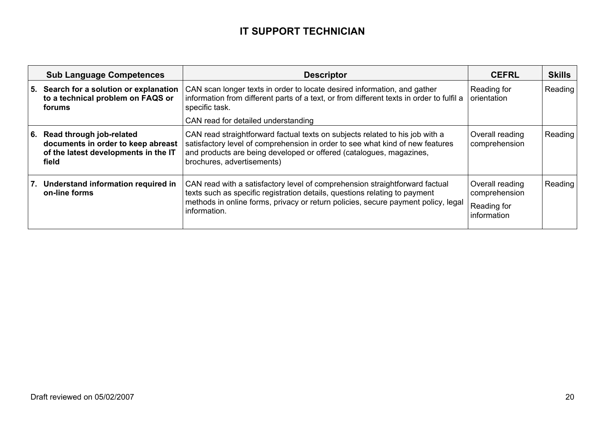|      | <b>Sub Language Competences</b>                                                                                 | <b>Descriptor</b>                                                                                                                                                                                                                                                  | <b>CEFRL</b>                                                   | <b>Skills</b> |
|------|-----------------------------------------------------------------------------------------------------------------|--------------------------------------------------------------------------------------------------------------------------------------------------------------------------------------------------------------------------------------------------------------------|----------------------------------------------------------------|---------------|
|      | 5. Search for a solution or explanation<br>to a technical problem on FAQS or<br>forums                          | CAN scan longer texts in order to locate desired information, and gather<br>information from different parts of a text, or from different texts in order to fulfil a<br>specific task.                                                                             | Reading for<br>orientation                                     | Reading       |
|      |                                                                                                                 | CAN read for detailed understanding                                                                                                                                                                                                                                |                                                                |               |
| l 6. | Read through job-related<br>documents in order to keep abreast<br>of the latest developments in the IT<br>field | CAN read straightforward factual texts on subjects related to his job with a<br>satisfactory level of comprehension in order to see what kind of new features<br>and products are being developed or offered (catalogues, magazines,<br>brochures, advertisements) | Overall reading<br>comprehension                               | Reading       |
|      | 7. Understand information required in<br>on-line forms                                                          | CAN read with a satisfactory level of comprehension straightforward factual<br>texts such as specific registration details, questions relating to payment<br>methods in online forms, privacy or return policies, secure payment policy, legal<br>information.     | Overall reading<br>comprehension<br>Reading for<br>information | Reading       |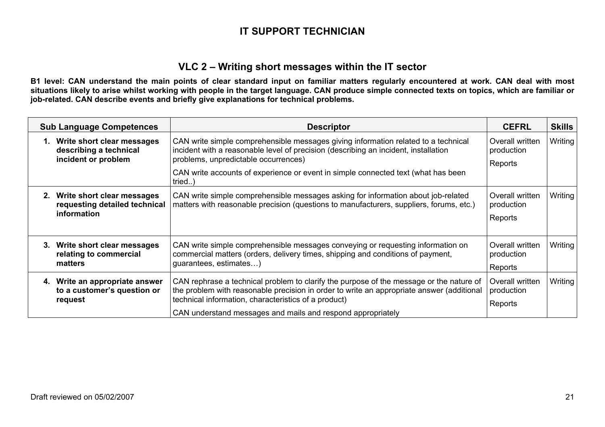#### **VLC 2 – Writing short messages within the IT sector**

| <b>Sub Language Competences</b>                                                | <b>Descriptor</b>                                                                                                                                                                                                                                                                                           | <b>CEFRL</b>                             | <b>Skills</b> |
|--------------------------------------------------------------------------------|-------------------------------------------------------------------------------------------------------------------------------------------------------------------------------------------------------------------------------------------------------------------------------------------------------------|------------------------------------------|---------------|
| 1. Write short clear messages<br>describing a technical<br>incident or problem | CAN write simple comprehensible messages giving information related to a technical<br>incident with a reasonable level of precision (describing an incident, installation<br>problems, unpredictable occurrences)                                                                                           |                                          | Writing       |
|                                                                                | CAN write accounts of experience or event in simple connected text (what has been<br>tried)                                                                                                                                                                                                                 | Reports                                  |               |
| 2. Write short clear messages<br>requesting detailed technical<br>information  | CAN write simple comprehensible messages asking for information about job-related<br>matters with reasonable precision (questions to manufacturers, suppliers, forums, etc.)                                                                                                                                | Overall written<br>production<br>Reports | Writing       |
|                                                                                |                                                                                                                                                                                                                                                                                                             |                                          |               |
| 3. Write short clear messages<br>relating to commercial<br>matters             | CAN write simple comprehensible messages conveying or requesting information on<br>commercial matters (orders, delivery times, shipping and conditions of payment,<br>guarantees, estimates)                                                                                                                | Overall written<br>production<br>Reports | Writing       |
| 4. Write an appropriate answer<br>to a customer's question or<br>request       | CAN rephrase a technical problem to clarify the purpose of the message or the nature of<br>the problem with reasonable precision in order to write an appropriate answer (additional<br>technical information, characteristics of a product)<br>CAN understand messages and mails and respond appropriately | Overall written<br>production<br>Reports | Writing       |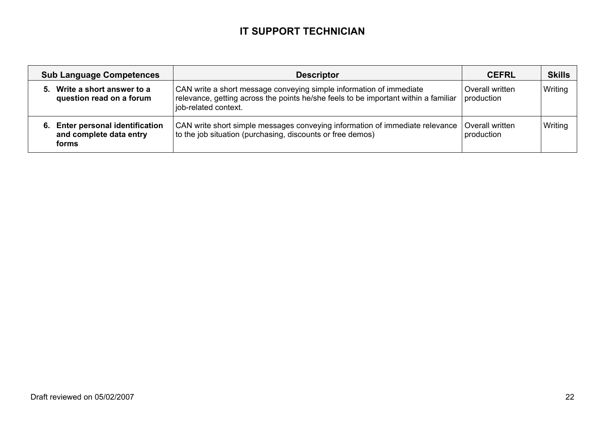|    | <b>Sub Language Competences</b>                                          | <b>Descriptor</b>                                                                                                                                                                  | <b>CEFRL</b>                  | <b>Skills</b> |
|----|--------------------------------------------------------------------------|------------------------------------------------------------------------------------------------------------------------------------------------------------------------------------|-------------------------------|---------------|
| 5. | Write a short answer to a<br>question read on a forum                    | CAN write a short message conveying simple information of immediate<br>relevance, getting across the points he/she feels to be important within a familiar<br>job-related context. | Overall written<br>production | Writing       |
| 6. | <b>Enter personal identification</b><br>and complete data entry<br>forms | CAN write short simple messages conveying information of immediate relevance<br>to the job situation (purchasing, discounts or free demos)                                         | Overall written<br>production | Writing       |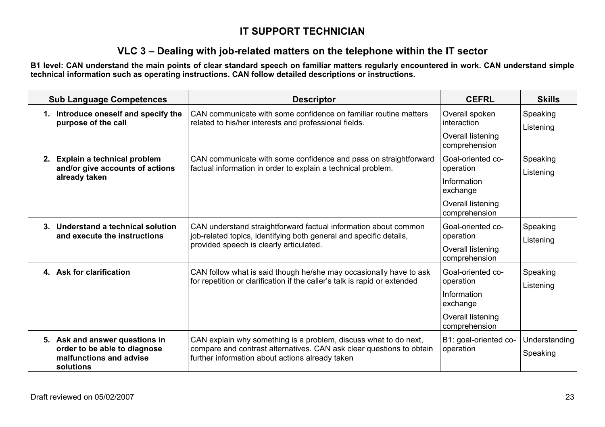### **VLC 3 – Dealing with job-related matters on the telephone within the IT sector**

**B1 level: CAN understand the main points of clear standard speech on familiar matters regularly encountered in work. CAN understand simple technical information such as operating instructions. CAN follow detailed descriptions or instructions.** 

| <b>Sub Language Competences</b>                                                                        | <b>Descriptor</b>                                                                                                                                                                           | <b>CEFRL</b>                                                                                    | <b>Skills</b>             |
|--------------------------------------------------------------------------------------------------------|---------------------------------------------------------------------------------------------------------------------------------------------------------------------------------------------|-------------------------------------------------------------------------------------------------|---------------------------|
| 1. Introduce oneself and specify the<br>purpose of the call                                            | CAN communicate with some confidence on familiar routine matters<br>related to his/her interests and professional fields.                                                                   | Overall spoken<br>interaction<br>Overall listening<br>comprehension                             | Speaking<br>Listening     |
| Explain a technical problem<br>2.<br>and/or give accounts of actions<br>already taken                  | CAN communicate with some confidence and pass on straightforward<br>factual information in order to explain a technical problem.                                                            | Goal-oriented co-<br>operation<br>Information<br>exchange<br>Overall listening<br>comprehension | Speaking<br>Listening     |
| Understand a technical solution<br>3.<br>and execute the instructions                                  | CAN understand straightforward factual information about common<br>job-related topics, identifying both general and specific details,<br>provided speech is clearly articulated.            | Goal-oriented co-<br>operation<br><b>Overall listening</b><br>comprehension                     | Speaking<br>Listening     |
| 4. Ask for clarification                                                                               | CAN follow what is said though he/she may occasionally have to ask<br>for repetition or clarification if the caller's talk is rapid or extended                                             | Goal-oriented co-<br>operation<br>Information<br>exchange<br>Overall listening<br>comprehension | Speaking<br>Listening     |
| 5. Ask and answer questions in<br>order to be able to diagnose<br>malfunctions and advise<br>solutions | CAN explain why something is a problem, discuss what to do next,<br>compare and contrast alternatives. CAN ask clear questions to obtain<br>further information about actions already taken | B1: goal-oriented co-<br>operation                                                              | Understanding<br>Speaking |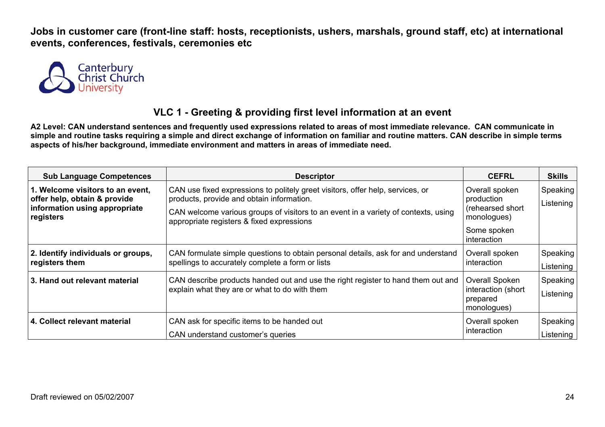

### **VLC 1 - Greeting & providing first level information at an event**

| <b>Sub Language Competences</b>                                                                                | <b>Descriptor</b>                                                                                                                                                                                                                                              | <b>CEFRL</b>                                                                                  | <b>Skills</b>         |
|----------------------------------------------------------------------------------------------------------------|----------------------------------------------------------------------------------------------------------------------------------------------------------------------------------------------------------------------------------------------------------------|-----------------------------------------------------------------------------------------------|-----------------------|
| 1. Welcome visitors to an event,<br>offer help, obtain & provide<br>information using appropriate<br>registers | CAN use fixed expressions to politely greet visitors, offer help, services, or<br>products, provide and obtain information.<br>CAN welcome various groups of visitors to an event in a variety of contexts, using<br>appropriate registers & fixed expressions | Overall spoken<br>production<br>(rehearsed short<br>monologues)<br>Some spoken<br>interaction | Speaking<br>Listening |
| 2. Identify individuals or groups,<br>registers them                                                           | CAN formulate simple questions to obtain personal details, ask for and understand<br>spellings to accurately complete a form or lists                                                                                                                          | Overall spoken<br>interaction                                                                 | Speaking<br>Listening |
| 3. Hand out relevant material                                                                                  | CAN describe products handed out and use the right register to hand them out and<br>explain what they are or what to do with them                                                                                                                              | Overall Spoken<br>interaction (short<br>prepared<br>monologues)                               | Speaking<br>Listening |
| 4. Collect relevant material                                                                                   | CAN ask for specific items to be handed out<br>CAN understand customer's queries                                                                                                                                                                               | Overall spoken<br>interaction                                                                 | Speaking<br>Listening |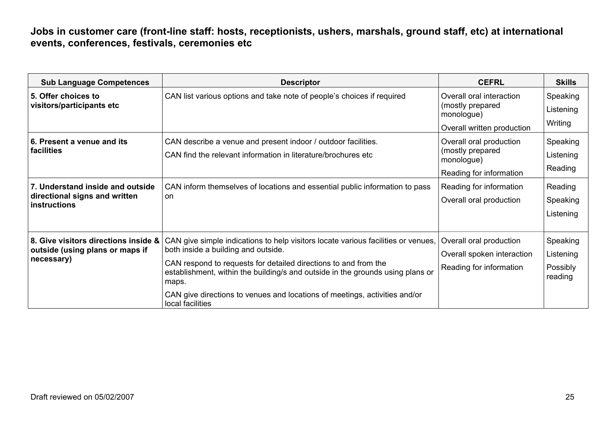| <b>Sub Language Competences</b>                                                                                               | <b>Descriptor</b>                                                                                                                                                                                                                                                                                                                                                                        | <b>CEFRL</b>                                                                                                                               | <b>Skills</b>                                                        |
|-------------------------------------------------------------------------------------------------------------------------------|------------------------------------------------------------------------------------------------------------------------------------------------------------------------------------------------------------------------------------------------------------------------------------------------------------------------------------------------------------------------------------------|--------------------------------------------------------------------------------------------------------------------------------------------|----------------------------------------------------------------------|
| 5. Offer choices to<br>visitors/participants etc                                                                              | CAN list various options and take note of people's choices if required                                                                                                                                                                                                                                                                                                                   | Overall oral interaction<br>(mostly prepared<br>monologue)<br>Overall written production                                                   | Speaking<br>Listening<br>Writing                                     |
| 6. Present a venue and its<br>facilities<br>7. Understand inside and outside<br>directional signs and written<br>instructions | CAN describe a venue and present indoor / outdoor facilities.<br>CAN find the relevant information in literature/brochures etc<br>CAN inform themselves of locations and essential public information to pass<br>on                                                                                                                                                                      | Overall oral production<br>(mostly prepared<br>monologue)<br>Reading for information<br>Reading for information<br>Overall oral production | Speaking<br>Listening<br>Reading<br>Reading<br>Speaking<br>Listening |
| 8. Give visitors directions inside &<br>outside (using plans or maps if<br>necessary)                                         | CAN give simple indications to help visitors locate various facilities or venues,<br>both inside a building and outside.<br>CAN respond to requests for detailed directions to and from the<br>establishment, within the building/s and outside in the grounds using plans or<br>maps.<br>CAN give directions to venues and locations of meetings, activities and/or<br>local facilities | Overall oral production<br>Overall spoken interaction<br>Reading for information                                                           | Speaking<br>Listening<br>Possibly<br>reading                         |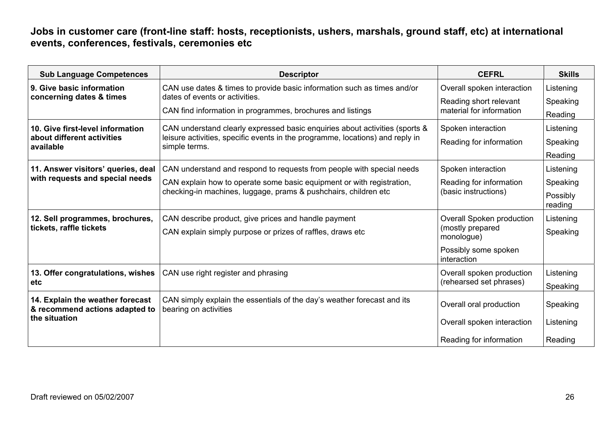| <b>Sub Language Competences</b>                                    | <b>Descriptor</b>                                                                                | <b>CEFRL</b>                                    | <b>Skills</b>       |
|--------------------------------------------------------------------|--------------------------------------------------------------------------------------------------|-------------------------------------------------|---------------------|
| 9. Give basic information                                          | CAN use dates & times to provide basic information such as times and/or                          | Overall spoken interaction                      | Listening           |
| concerning dates & times                                           | dates of events or activities.                                                                   | Reading short relevant                          | Speaking            |
|                                                                    | CAN find information in programmes, brochures and listings                                       | material for information                        | Reading             |
| 10. Give first-level information                                   | CAN understand clearly expressed basic enquiries about activities (sports &                      | Spoken interaction                              | Listening           |
| about different activities<br>available                            | leisure activities, specific events in the programme, locations) and reply in<br>simple terms.   | Reading for information                         | Speaking            |
|                                                                    |                                                                                                  |                                                 | Reading             |
| 11. Answer visitors' queries, deal                                 | CAN understand and respond to requests from people with special needs                            | Spoken interaction                              | Listening           |
| with requests and special needs                                    | CAN explain how to operate some basic equipment or with registration,                            | Reading for information<br>(basic instructions) | Speaking            |
|                                                                    | checking-in machines, luggage, prams & pushchairs, children etc                                  |                                                 | Possibly<br>reading |
| 12. Sell programmes, brochures,                                    | CAN describe product, give prices and handle payment                                             | Overall Spoken production                       | Listening           |
| tickets, raffle tickets                                            | CAN explain simply purpose or prizes of raffles, draws etc                                       | (mostly prepared<br>monologue)                  | Speaking            |
|                                                                    |                                                                                                  | Possibly some spoken<br>interaction             |                     |
| 13. Offer congratulations, wishes                                  | CAN use right register and phrasing                                                              | Overall spoken production                       | Listening           |
| etc.                                                               |                                                                                                  | (rehearsed set phrases)                         | Speaking            |
| 14. Explain the weather forecast<br>& recommend actions adapted to | CAN simply explain the essentials of the day's weather forecast and its<br>bearing on activities | Overall oral production                         | Speaking            |
| the situation                                                      |                                                                                                  | Overall spoken interaction                      | Listening           |
|                                                                    |                                                                                                  | Reading for information                         | Reading             |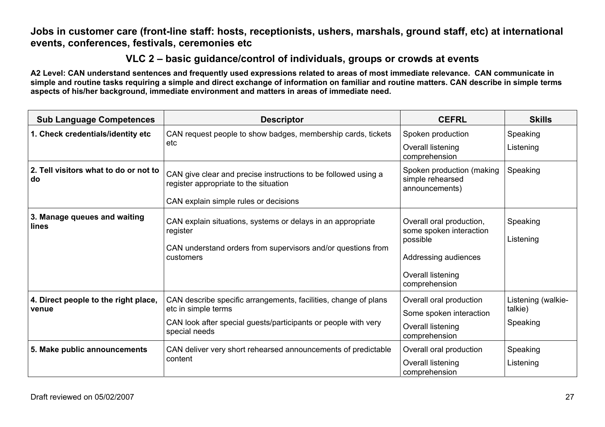### **VLC 2 – basic guidance/control of individuals, groups or crowds at events**

| <b>Sub Language Competences</b>               | <b>Descriptor</b>                                                                                       | <b>CEFRL</b>                                                    | <b>Skills</b>                 |
|-----------------------------------------------|---------------------------------------------------------------------------------------------------------|-----------------------------------------------------------------|-------------------------------|
| 1. Check credentials/identity etc             | CAN request people to show badges, membership cards, tickets                                            | Spoken production                                               | Speaking                      |
|                                               | etc                                                                                                     | Overall listening<br>comprehension                              | Listening                     |
| 2. Tell visitors what to do or not to<br>do   | CAN give clear and precise instructions to be followed using a<br>register appropriate to the situation | Spoken production (making<br>simple rehearsed<br>announcements) | Speaking                      |
|                                               | CAN explain simple rules or decisions                                                                   |                                                                 |                               |
| 3. Manage queues and waiting<br>lines         | CAN explain situations, systems or delays in an appropriate<br>register                                 | Overall oral production,<br>some spoken interaction<br>possible | Speaking<br>Listening         |
|                                               | CAN understand orders from supervisors and/or questions from<br>customers                               | Addressing audiences                                            |                               |
|                                               |                                                                                                         | Overall listening<br>comprehension                              |                               |
| 4. Direct people to the right place,<br>venue | CAN describe specific arrangements, facilities, change of plans<br>etc in simple terms                  | Overall oral production<br>Some spoken interaction              | Listening (walkie-<br>talkie) |
|                                               | CAN look after special guests/participants or people with very<br>special needs                         | Overall listening<br>comprehension                              | Speaking                      |
| 5. Make public announcements                  | CAN deliver very short rehearsed announcements of predictable                                           | Overall oral production                                         | Speaking                      |
|                                               | content                                                                                                 | Overall listening<br>comprehension                              | Listening                     |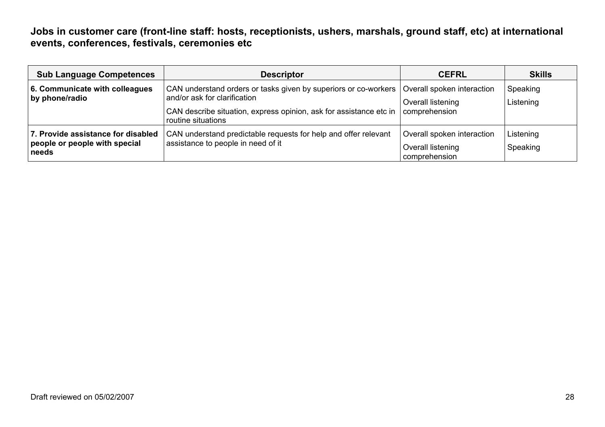| <b>Sub Language Competences</b>                                              | <b>Descriptor</b>                                                                                                                                                                           | <b>CEFRL</b>                                                     | <b>Skills</b>         |
|------------------------------------------------------------------------------|---------------------------------------------------------------------------------------------------------------------------------------------------------------------------------------------|------------------------------------------------------------------|-----------------------|
| 6. Communicate with colleagues<br>by phone/radio                             | CAN understand orders or tasks given by superiors or co-workers<br>and/or ask for clarification<br>CAN describe situation, express opinion, ask for assistance etc in<br>routine situations | Overall spoken interaction<br>Overall listening<br>comprehension | Speaking<br>Listening |
| 7. Provide assistance for disabled<br>people or people with special<br>needs | CAN understand predictable requests for help and offer relevant<br>assistance to people in need of it                                                                                       | Overall spoken interaction<br>Overall listening<br>comprehension | Listening<br>Speaking |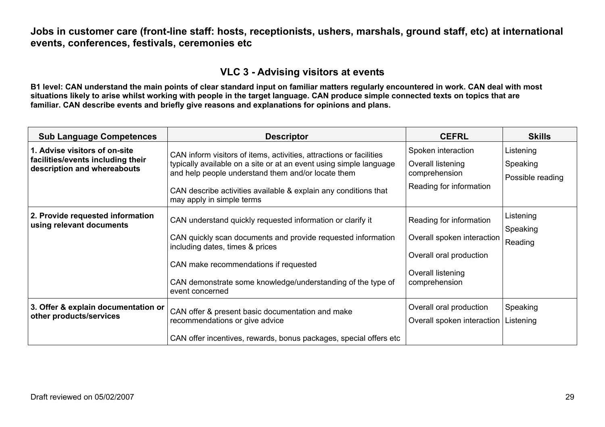### **VLC 3 - Advising visitors at events**

| <b>Sub Language Competences</b>                                                                   | <b>Descriptor</b>                                                                                                                                                                                                                                                                               | <b>CEFRL</b>                                                                                                           | <b>Skills</b>                             |
|---------------------------------------------------------------------------------------------------|-------------------------------------------------------------------------------------------------------------------------------------------------------------------------------------------------------------------------------------------------------------------------------------------------|------------------------------------------------------------------------------------------------------------------------|-------------------------------------------|
| 1. Advise visitors of on-site<br>facilities/events including their<br>description and whereabouts | CAN inform visitors of items, activities, attractions or facilities<br>typically available on a site or at an event using simple language<br>and help people understand them and/or locate them<br>CAN describe activities available & explain any conditions that<br>may apply in simple terms | Spoken interaction<br>Overall listening<br>comprehension<br>Reading for information                                    | Listening<br>Speaking<br>Possible reading |
| 2. Provide requested information<br>using relevant documents                                      | CAN understand quickly requested information or clarify it<br>CAN quickly scan documents and provide requested information<br>including dates, times & prices<br>CAN make recommendations if requested<br>CAN demonstrate some knowledge/understanding of the type of<br>event concerned        | Reading for information<br>Overall spoken interaction<br>Overall oral production<br>Overall listening<br>comprehension | Listening<br>Speaking<br>Reading          |
| 3. Offer & explain documentation or<br>other products/services                                    | CAN offer & present basic documentation and make<br>recommendations or give advice<br>CAN offer incentives, rewards, bonus packages, special offers etc                                                                                                                                         | Overall oral production<br>Overall spoken interaction                                                                  | Speaking<br>Listening                     |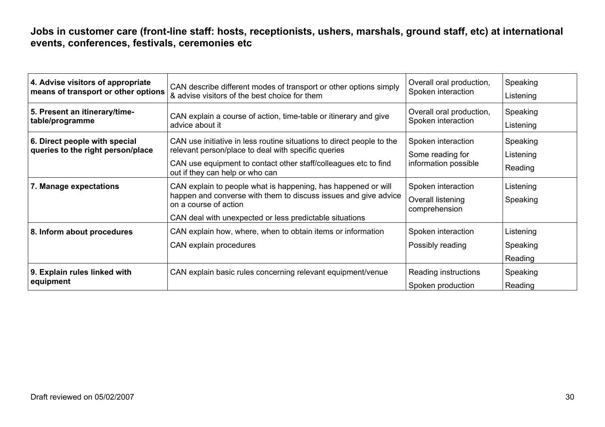| 4. Advise visitors of appropriate<br>means of transport or other options | CAN describe different modes of transport or other options simply<br>& advise visitors of the best choice for them           | Overall oral production,<br>Spoken interaction | Speaking<br>Listening |
|--------------------------------------------------------------------------|------------------------------------------------------------------------------------------------------------------------------|------------------------------------------------|-----------------------|
| 5. Present an itinerary/time-<br>table/programme                         | CAN explain a course of action, time-table or itinerary and give<br>advice about it                                          | Overall oral production,<br>Spoken interaction | Speaking<br>Listening |
| 6. Direct people with special<br>queries to the right person/place       | CAN use initiative in less routine situations to direct people to the<br>relevant person/place to deal with specific queries | Spoken interaction<br>Some reading for         | Speaking<br>Listening |
|                                                                          | CAN use equipment to contact other staff/colleagues etc to find<br>out if they can help or who can                           | information possible                           | Reading               |
| 7. Manage expectations                                                   | CAN explain to people what is happening, has happened or will                                                                | Spoken interaction                             | Listening             |
|                                                                          | happen and converse with them to discuss issues and give advice<br>on a course of action                                     | Overall listening<br>comprehension             | Speaking              |
|                                                                          | CAN deal with unexpected or less predictable situations                                                                      |                                                |                       |
| 8. Inform about procedures                                               | CAN explain how, where, when to obtain items or information                                                                  | Spoken interaction                             | Listening             |
|                                                                          | CAN explain procedures                                                                                                       | Possibly reading                               | Speaking              |
|                                                                          |                                                                                                                              |                                                | Reading               |
| 9. Explain rules linked with                                             | CAN explain basic rules concerning relevant equipment/venue                                                                  | Reading instructions                           | Speaking              |
| equipment                                                                |                                                                                                                              | Spoken production                              | Reading               |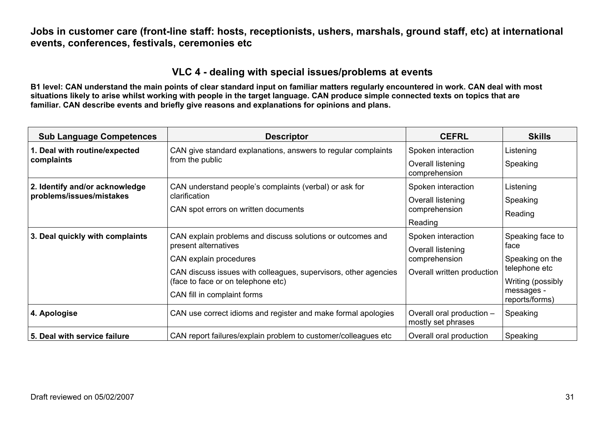### **VLC 4 - dealing with special issues/problems at events**

| <b>Sub Language Competences</b> | <b>Descriptor</b>                                               | <b>CEFRL</b>                                    | <b>Skills</b>                |
|---------------------------------|-----------------------------------------------------------------|-------------------------------------------------|------------------------------|
| 1. Deal with routine/expected   | CAN give standard explanations, answers to regular complaints   | Spoken interaction                              | Listening                    |
| complaints                      | from the public                                                 | Overall listening<br>comprehension              | Speaking                     |
| 2. Identify and/or acknowledge  | CAN understand people's complaints (verbal) or ask for          | Spoken interaction                              | Listening                    |
| problems/issues/mistakes        | clarification                                                   | Overall listening                               | Speaking                     |
|                                 | CAN spot errors on written documents                            | comprehension                                   | Reading                      |
|                                 |                                                                 | Reading                                         |                              |
| 3. Deal quickly with complaints | CAN explain problems and discuss solutions or outcomes and      | Spoken interaction                              | Speaking face to             |
|                                 | present alternatives                                            | Overall listening                               | face                         |
|                                 | CAN explain procedures                                          | comprehension                                   | Speaking on the              |
|                                 | CAN discuss issues with colleagues, supervisors, other agencies | Overall written production                      | telephone etc                |
|                                 | (face to face or on telephone etc)                              |                                                 | Writing (possibly            |
|                                 | CAN fill in complaint forms                                     |                                                 | messages -<br>reports/forms) |
| 4. Apologise                    | CAN use correct idioms and register and make formal apologies   | Overall oral production -<br>mostly set phrases | Speaking                     |
| 5. Deal with service failure    | CAN report failures/explain problem to customer/colleagues etc. | Overall oral production                         | Speaking                     |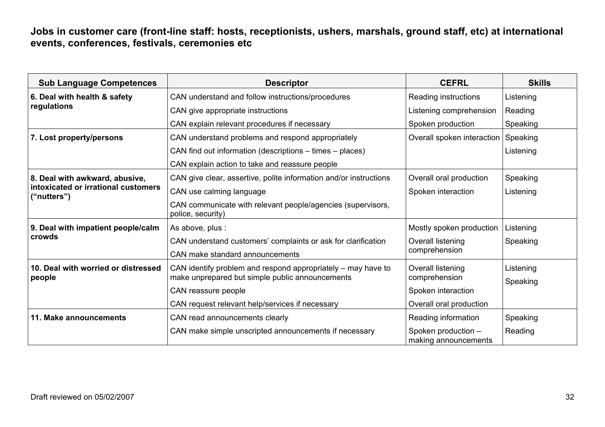| <b>Sub Language Competences</b>                    | <b>Descriptor</b>                                                                                | <b>CEFRL</b>                                | <b>Skills</b> |
|----------------------------------------------------|--------------------------------------------------------------------------------------------------|---------------------------------------------|---------------|
| 6. Deal with health & safety                       | CAN understand and follow instructions/procedures                                                | Reading instructions                        | Listening     |
| regulations                                        | CAN give appropriate instructions                                                                | Listening comprehension                     | Reading       |
|                                                    | CAN explain relevant procedures if necessary                                                     | Spoken production                           | Speaking      |
| 7. Lost property/persons                           | CAN understand problems and respond appropriately                                                | Overall spoken interaction                  | Speaking      |
|                                                    | CAN find out information (descriptions - times - places)                                         |                                             | Listening     |
|                                                    | CAN explain action to take and reassure people                                                   |                                             |               |
| 8. Deal with awkward, abusive,                     | CAN give clear, assertive, polite information and/or instructions                                | Overall oral production                     | Speaking      |
| intoxicated or irrational customers<br>("nutters") | CAN use calming language                                                                         | Spoken interaction                          | Listening     |
|                                                    | CAN communicate with relevant people/agencies (supervisors,<br>police, security)                 |                                             |               |
| 9. Deal with impatient people/calm                 | As above, plus :                                                                                 | Mostly spoken production                    | Listening     |
| crowds                                             | CAN understand customers' complaints or ask for clarification<br>CAN make standard announcements | Overall listening<br>comprehension          | Speaking      |
| 10. Deal with worried or distressed                | CAN identify problem and respond appropriately - may have to                                     | Overall listening                           | Listening     |
| people                                             | make unprepared but simple public announcements                                                  | comprehension                               | Speaking      |
|                                                    | CAN reassure people                                                                              | Spoken interaction                          |               |
|                                                    | CAN request relevant help/services if necessary                                                  | Overall oral production                     |               |
| 11. Make announcements                             | CAN read announcements clearly                                                                   | Reading information                         | Speaking      |
|                                                    | CAN make simple unscripted announcements if necessary                                            | Spoken production -<br>making announcements | Reading       |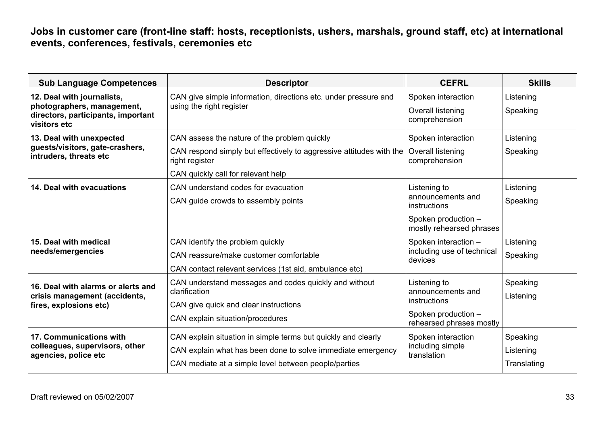| <b>Sub Language Competences</b>                                                                                | <b>Descriptor</b>                                                                                                                                                                               | <b>CEFRL</b>                                                                                         | <b>Skills</b>                        |
|----------------------------------------------------------------------------------------------------------------|-------------------------------------------------------------------------------------------------------------------------------------------------------------------------------------------------|------------------------------------------------------------------------------------------------------|--------------------------------------|
| 12. Deal with journalists,<br>photographers, management,<br>directors, participants, important<br>visitors etc | CAN give simple information, directions etc. under pressure and<br>using the right register                                                                                                     | Spoken interaction<br>Overall listening<br>comprehension                                             | Listening<br>Speaking                |
| 13. Deal with unexpected<br>guests/visitors, gate-crashers,<br>intruders, threats etc                          | CAN assess the nature of the problem quickly<br>CAN respond simply but effectively to aggressive attitudes with the   Overall listening<br>right register<br>CAN quickly call for relevant help | Spoken interaction<br>comprehension                                                                  | Listening<br>Speaking                |
| 14. Deal with evacuations                                                                                      | CAN understand codes for evacuation<br>CAN guide crowds to assembly points                                                                                                                      | Listening to<br>announcements and<br>instructions<br>Spoken production -<br>mostly rehearsed phrases | Listening<br>Speaking                |
| 15. Deal with medical<br>needs/emergencies                                                                     | CAN identify the problem quickly<br>CAN reassure/make customer comfortable<br>CAN contact relevant services (1st aid, ambulance etc)                                                            | Spoken interaction -<br>including use of technical<br>devices                                        | Listening<br>Speaking                |
| 16. Deal with alarms or alerts and<br>crisis management (accidents,<br>fires, explosions etc)                  | CAN understand messages and codes quickly and without<br>clarification<br>CAN give quick and clear instructions<br>CAN explain situation/procedures                                             | Listening to<br>announcements and<br>instructions<br>Spoken production -<br>rehearsed phrases mostly | Speaking<br>Listening                |
| 17. Communications with<br>colleagues, supervisors, other<br>agencies, police etc                              | CAN explain situation in simple terms but quickly and clearly<br>CAN explain what has been done to solve immediate emergency<br>CAN mediate at a simple level between people/parties            | Spoken interaction<br>including simple<br>translation                                                | Speaking<br>Listening<br>Translating |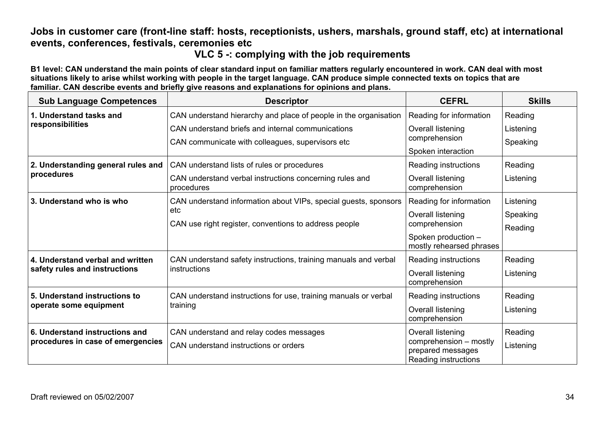### **VLC 5 -: complying with the job requirements**

| <b>Sub Language Competences</b>    | <b>Descriptor</b>                                                     | <b>CEFRL</b>                                                        | <b>Skills</b> |
|------------------------------------|-----------------------------------------------------------------------|---------------------------------------------------------------------|---------------|
| 1. Understand tasks and            | CAN understand hierarchy and place of people in the organisation      | Reading for information                                             | Reading       |
| responsibilities                   | CAN understand briefs and internal communications                     | Overall listening                                                   | Listening     |
|                                    | CAN communicate with colleagues, supervisors etc                      | comprehension                                                       | Speaking      |
|                                    |                                                                       | Spoken interaction                                                  |               |
| 2. Understanding general rules and | CAN understand lists of rules or procedures                           | Reading instructions                                                | Reading       |
| procedures                         | CAN understand verbal instructions concerning rules and<br>procedures | Overall listening<br>comprehension                                  | Listening     |
| 3. Understand who is who           | CAN understand information about VIPs, special guests, sponsors       | Reading for information                                             | Listening     |
|                                    | etc                                                                   | Overall listening                                                   | Speaking      |
|                                    | CAN use right register, conventions to address people                 | comprehension                                                       | Reading       |
|                                    |                                                                       | Spoken production -<br>mostly rehearsed phrases                     |               |
| 4. Understand verbal and written   | CAN understand safety instructions, training manuals and verbal       | Reading instructions                                                | Reading       |
| safety rules and instructions      | <i>instructions</i>                                                   | Overall listening<br>comprehension                                  | Listening     |
| 5. Understand instructions to      | CAN understand instructions for use, training manuals or verbal       | Reading instructions                                                | Reading       |
| operate some equipment             | training                                                              | Overall listening<br>comprehension                                  | Listening     |
| 6. Understand instructions and     | CAN understand and relay codes messages                               | Overall listening                                                   | Reading       |
| procedures in case of emergencies  | CAN understand instructions or orders                                 | comprehension - mostly<br>prepared messages<br>Reading instructions | Listening     |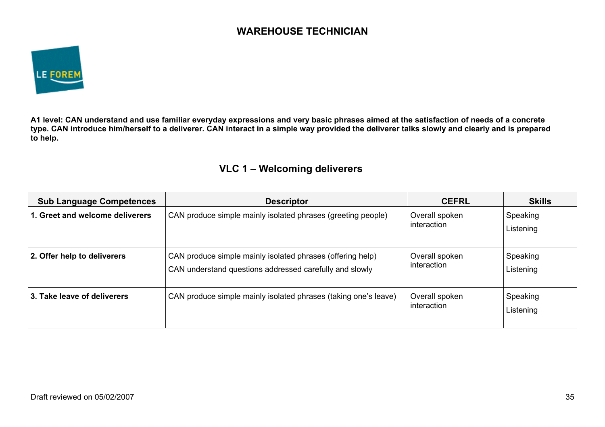### **WAREHOUSE TECHNICIAN**



**A1 level: CAN understand and use familiar everyday expressions and very basic phrases aimed at the satisfaction of needs of a concrete type. CAN introduce him/herself to a deliverer. CAN interact in a simple way provided the deliverer talks slowly and clearly and is prepared to help.** 

### **VLC 1 – Welcoming deliverers**

| <b>Sub Language Competences</b> | <b>Descriptor</b>                                                                                                     | <b>CEFRL</b>                  | <b>Skills</b>         |
|---------------------------------|-----------------------------------------------------------------------------------------------------------------------|-------------------------------|-----------------------|
| 1. Greet and welcome deliverers | CAN produce simple mainly isolated phrases (greeting people)                                                          | Overall spoken<br>interaction | Speaking<br>Listening |
| 2. Offer help to deliverers     | CAN produce simple mainly isolated phrases (offering help)<br>CAN understand questions addressed carefully and slowly | Overall spoken<br>interaction | Speaking<br>Listening |
| 3. Take leave of deliverers     | CAN produce simple mainly isolated phrases (taking one's leave)                                                       | Overall spoken<br>interaction | Speaking<br>Listening |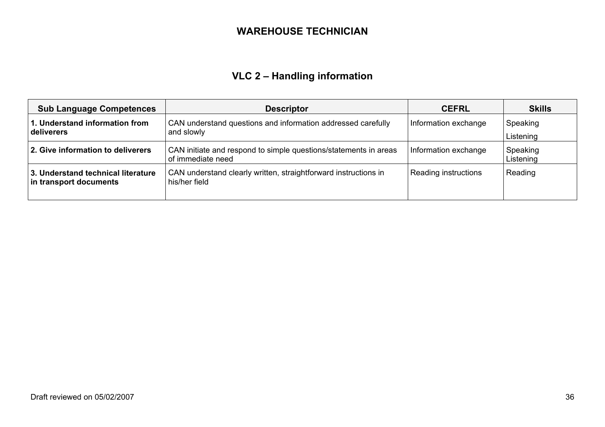### **WAREHOUSE TECHNICIAN**

# **VLC 2 – Handling information**

| <b>Sub Language Competences</b>                              | <b>Descriptor</b>                                                                     | <b>CEFRL</b>         | <b>Skills</b>         |
|--------------------------------------------------------------|---------------------------------------------------------------------------------------|----------------------|-----------------------|
| 1. Understand information from<br>deliverers                 | CAN understand questions and information addressed carefully<br>and slowly            | Information exchange | Speaking<br>Listening |
| 2. Give information to deliverers                            | CAN initiate and respond to simple questions/statements in areas<br>of immediate need | Information exchange | Speaking<br>Listening |
| 3. Understand technical literature<br>in transport documents | CAN understand clearly written, straightforward instructions in<br>his/her field      | Reading instructions | Reading               |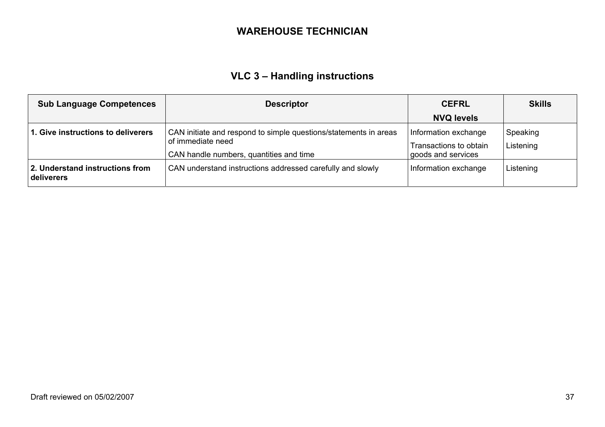#### **WAREHOUSE TECHNICIAN**

# **VLC 3 – Handling instructions**

| <b>Sub Language Competences</b>               | <b>Descriptor</b>                                                                                                                | <b>CEFRL</b>                                                         | <b>Skills</b>         |
|-----------------------------------------------|----------------------------------------------------------------------------------------------------------------------------------|----------------------------------------------------------------------|-----------------------|
|                                               |                                                                                                                                  | <b>NVQ levels</b>                                                    |                       |
| 1. Give instructions to deliverers            | CAN initiate and respond to simple questions/statements in areas<br>of immediate need<br>CAN handle numbers, quantities and time | Information exchange<br>Transactions to obtain<br>goods and services | Speaking<br>Listening |
| 2. Understand instructions from<br>deliverers | CAN understand instructions addressed carefully and slowly                                                                       | Information exchange                                                 | Listening             |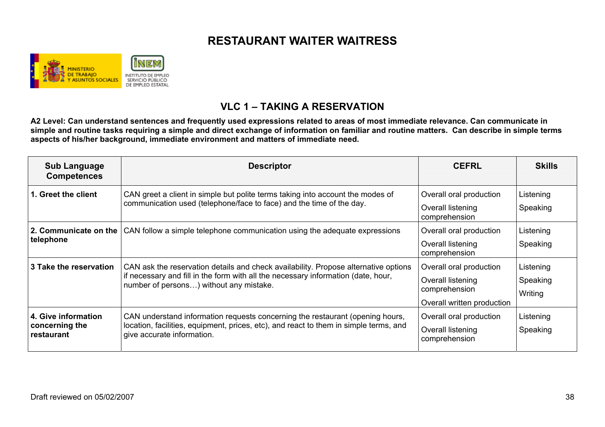

### **VLC 1 – TAKING A RESERVATION**

| <b>Sub Language</b><br><b>Competences</b>           | <b>Descriptor</b>                                                                                                                                                                                                   | <b>CEFRL</b>                                                                                | <b>Skills</b>                    |
|-----------------------------------------------------|---------------------------------------------------------------------------------------------------------------------------------------------------------------------------------------------------------------------|---------------------------------------------------------------------------------------------|----------------------------------|
| 1. Greet the client                                 | CAN greet a client in simple but polite terms taking into account the modes of<br>communication used (telephone/face to face) and the time of the day.                                                              | Overall oral production<br>Overall listening<br>comprehension                               | Listening<br>Speaking            |
| 2. Communicate on the<br>telephone                  | CAN follow a simple telephone communication using the adequate expressions                                                                                                                                          | Overall oral production<br>Overall listening<br>comprehension                               | Listening<br>Speaking            |
| 3 Take the reservation                              | CAN ask the reservation details and check availability. Propose alternative options<br>if necessary and fill in the form with all the necessary information (date, hour,<br>number of persons) without any mistake. | Overall oral production<br>Overall listening<br>comprehension<br>Overall written production | Listening<br>Speaking<br>Writing |
| 4. Give information<br>concerning the<br>restaurant | CAN understand information requests concerning the restaurant (opening hours,<br>location, facilities, equipment, prices, etc), and react to them in simple terms, and<br>give accurate information.                | Overall oral production<br>Overall listening<br>comprehension                               | Listening<br>Speaking            |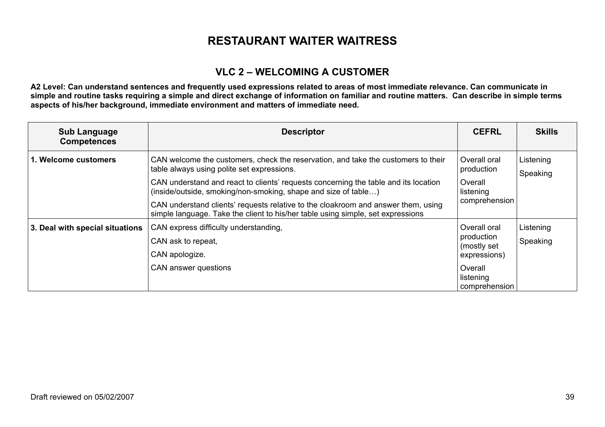### **VLC 2 – WELCOMING A CUSTOMER**

| <b>Sub Language</b><br><b>Competences</b> | <b>Descriptor</b>                                                                                                                                                                                                                                                                        | <b>CEFRL</b>                                                        | <b>Skills</b>         |
|-------------------------------------------|------------------------------------------------------------------------------------------------------------------------------------------------------------------------------------------------------------------------------------------------------------------------------------------|---------------------------------------------------------------------|-----------------------|
| 1. Welcome customers                      | CAN welcome the customers, check the reservation, and take the customers to their<br>table always using polite set expressions.<br>CAN understand and react to clients' requests concerning the table and its location<br>(inside/outside, smoking/non-smoking, shape and size of table) | Overall oral<br>production<br>Overall<br>listening<br>comprehension | Listening<br>Speaking |
|                                           | CAN understand clients' requests relative to the cloakroom and answer them, using<br>simple language. Take the client to his/her table using simple, set expressions                                                                                                                     |                                                                     |                       |
| 3. Deal with special situations           | CAN express difficulty understanding,<br>CAN ask to repeat,<br>CAN apologize.                                                                                                                                                                                                            | Overall oral<br>production<br>(mostly set<br>expressions)           | Listening<br>Speaking |
|                                           | CAN answer questions                                                                                                                                                                                                                                                                     | Overall<br>listening<br>comprehension                               |                       |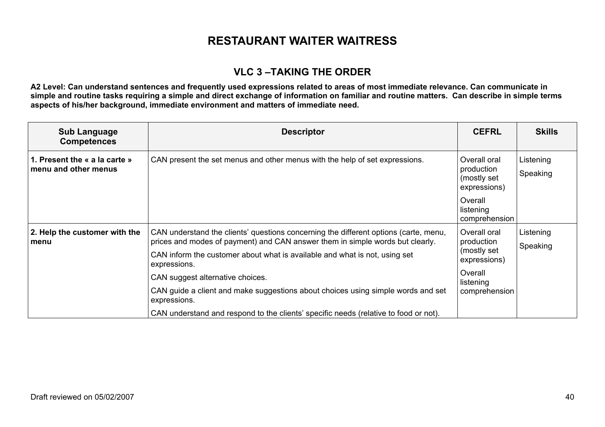### **VLC 3 –TAKING THE ORDER**

| <b>Sub Language</b><br><b>Competences</b>             | <b>Descriptor</b>                                                                                                                                                     | <b>CEFRL</b>                                                                      | <b>Skills</b>         |
|-------------------------------------------------------|-----------------------------------------------------------------------------------------------------------------------------------------------------------------------|-----------------------------------------------------------------------------------|-----------------------|
| 1. Present the « a la carte »<br>menu and other menus | CAN present the set menus and other menus with the help of set expressions.                                                                                           | Overall oral<br>production<br>(mostly set<br>expressions)                         | Listening<br>Speaking |
|                                                       |                                                                                                                                                                       | Overall<br>listening<br>comprehension                                             |                       |
| 2. Help the customer with the<br>menu                 | CAN understand the clients' questions concerning the different options (carte, menu,<br>prices and modes of payment) and CAN answer them in simple words but clearly. | Overall oral<br>production<br>(mostly set<br>expressions)<br>Overall<br>listening | Listening<br>Speaking |
|                                                       | CAN inform the customer about what is available and what is not, using set<br>expressions.                                                                            |                                                                                   |                       |
|                                                       | CAN suggest alternative choices.                                                                                                                                      |                                                                                   |                       |
|                                                       | CAN guide a client and make suggestions about choices using simple words and set<br>expressions.                                                                      | comprehension                                                                     |                       |
|                                                       | CAN understand and respond to the clients' specific needs (relative to food or not).                                                                                  |                                                                                   |                       |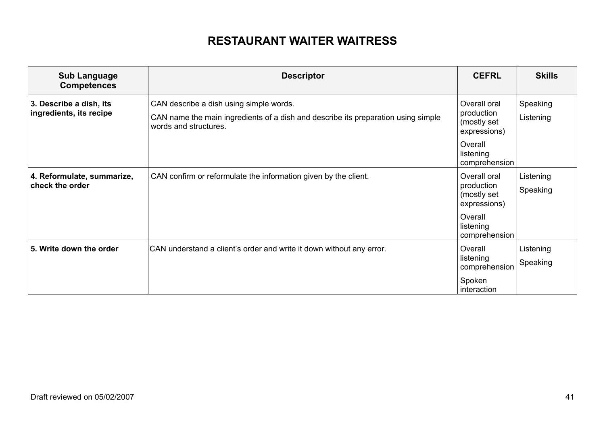| <b>Sub Language</b><br><b>Competences</b>          | <b>Descriptor</b>                                                                                                                                     | <b>CEFRL</b>                                                                                       | <b>Skills</b>         |
|----------------------------------------------------|-------------------------------------------------------------------------------------------------------------------------------------------------------|----------------------------------------------------------------------------------------------------|-----------------------|
| 3. Describe a dish, its<br>ingredients, its recipe | CAN describe a dish using simple words.<br>CAN name the main ingredients of a dish and describe its preparation using simple<br>words and structures. | Overall oral<br>production<br>(mostly set<br>expressions)<br>Overall<br>listening<br>comprehension | Speaking<br>Listening |
| 4. Reformulate, summarize,<br>check the order      | CAN confirm or reformulate the information given by the client.                                                                                       | Overall oral<br>production<br>(mostly set<br>expressions)<br>Overall<br>listening<br>comprehension | Listening<br>Speaking |
| 5. Write down the order                            | CAN understand a client's order and write it down without any error.                                                                                  | Overall<br>listening<br>comprehension<br>Spoken<br>interaction                                     | Listening<br>Speaking |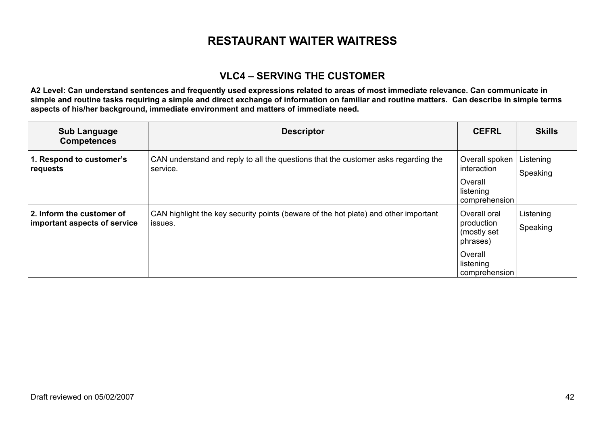### **VLC4 – SERVING THE CUSTOMER**

| <b>Sub Language</b><br><b>Competences</b>                 | <b>Descriptor</b>                                                                              | <b>CEFRL</b>                                                                                   | <b>Skills</b>         |
|-----------------------------------------------------------|------------------------------------------------------------------------------------------------|------------------------------------------------------------------------------------------------|-----------------------|
| 1. Respond to customer's<br>requests                      | CAN understand and reply to all the questions that the customer asks regarding the<br>service. | Overall spoken<br>interaction<br>Overall<br>listening<br>comprehension                         | Listening<br>Speaking |
| 2. Inform the customer of<br>important aspects of service | CAN highlight the key security points (beware of the hot plate) and other important<br>issues. | Overall oral<br>production<br>(mostly set<br>phrases)<br>Overall<br>listening<br>comprehension | Listening<br>Speaking |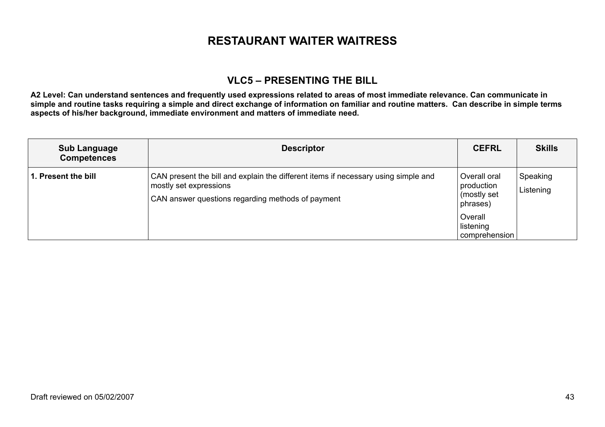### **VLC5 – PRESENTING THE BILL**

| <b>Sub Language</b><br><b>Competences</b> | <b>Descriptor</b>                                                                                                                                                 | <b>CEFRL</b>                                          | <b>Skills</b>         |
|-------------------------------------------|-------------------------------------------------------------------------------------------------------------------------------------------------------------------|-------------------------------------------------------|-----------------------|
| 1. Present the bill                       | CAN present the bill and explain the different items if necessary using simple and<br>mostly set expressions<br>CAN answer questions regarding methods of payment | Overall oral<br>production<br>(mostly set<br>phrases) | Speaking<br>Listening |
|                                           |                                                                                                                                                                   | Overall<br>listening<br>comprehension                 |                       |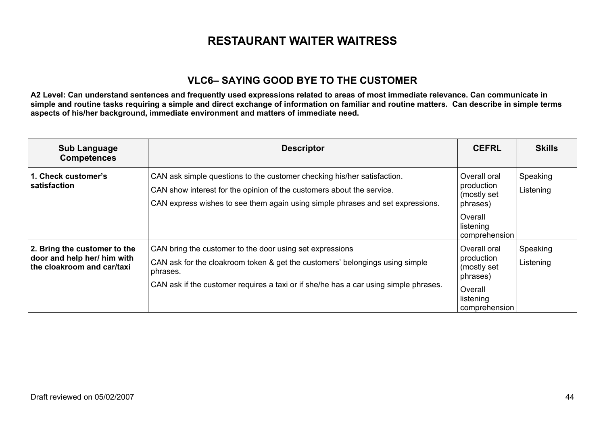### **VLC6– SAYING GOOD BYE TO THE CUSTOMER**

| <b>Sub Language</b><br><b>Competences</b>                                                 | <b>Descriptor</b>                                                                                                                                                                                                                            | <b>CEFRL</b>                                                                                   | <b>Skills</b>         |
|-------------------------------------------------------------------------------------------|----------------------------------------------------------------------------------------------------------------------------------------------------------------------------------------------------------------------------------------------|------------------------------------------------------------------------------------------------|-----------------------|
| 1. Check customer's<br>satisfaction                                                       | CAN ask simple questions to the customer checking his/her satisfaction.<br>CAN show interest for the opinion of the customers about the service.<br>CAN express wishes to see them again using simple phrases and set expressions.           | Overall oral<br>production<br>(mostly set<br>phrases)                                          | Speaking<br>Listening |
|                                                                                           |                                                                                                                                                                                                                                              | Overall<br>listening<br>comprehension                                                          |                       |
| 2. Bring the customer to the<br>door and help her/ him with<br>the cloakroom and car/taxi | CAN bring the customer to the door using set expressions<br>CAN ask for the cloakroom token & get the customers' belongings using simple<br>phrases.<br>CAN ask if the customer requires a taxi or if she/he has a car using simple phrases. | Overall oral<br>production<br>(mostly set<br>phrases)<br>Overall<br>listening<br>comprehension | Speaking<br>Listening |